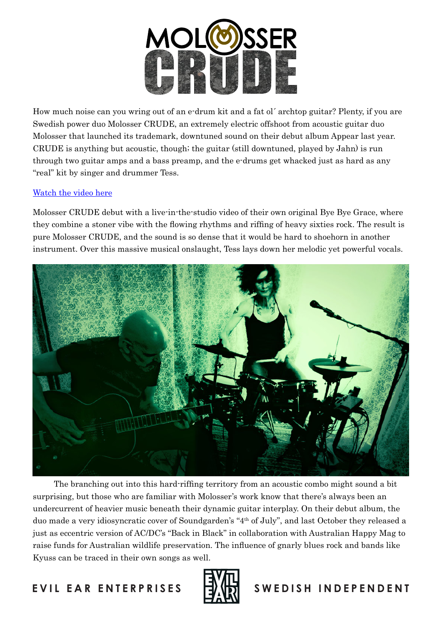

How much noise can you wring out of an e-drum kit and a fat ol´ archtop guitar? Plenty, if you are Swedish power duo Molosser CRUDE, an extremely electric offshoot from acoustic guitar duo Molosser that launched its trademark, downtuned sound on their debut album Appear last year. CRUDE is anything but acoustic, though; the guitar (still downtuned, played by Jahn) is run through two guitar amps and a bass preamp, and the e-drums get whacked just as hard as any "real" kit by singer and drummer Tess.

## [Watch the video here](https://youtu.be/4dHDN3gwG8s)

Molosser CRUDE debut with a live-in-the-studio video of their own original Bye Bye Grace, where they combine a stoner vibe with the flowing rhythms and riffing of heavy sixties rock. The result is pure Molosser CRUDE, and the sound is so dense that it would be hard to shoehorn in another instrument. Over this massive musical onslaught, Tess lays down her melodic yet powerful vocals.



The branching out into this hard-riffing territory from an acoustic combo might sound a bit surprising, but those who are familiar with Molosser's work know that there's always been an undercurrent of heavier music beneath their dynamic guitar interplay. On their debut album, the duo made a very idiosyncratic cover of Soundgarden's "4th of July", and last October they released a just as eccentric version of AC/DC's "Back in Black" in collaboration with Australian Happy Mag to raise funds for Australian wildlife preservation. The influence of gnarly blues rock and bands like Kyuss can be traced in their own songs as well.



## E VIL EAR ENTERPRISES **IT A SEE ALL SWED IS HINDEPENDENT**